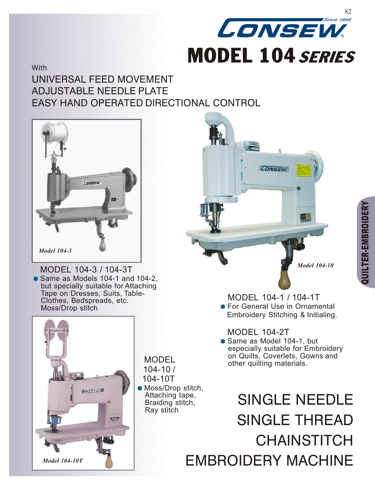

## **With** UNIVERSAL FEED MOVEMENT ADJUSTABLE NEEDLE PLATE EASY HAND OPERATED DIRECTIONAL CONTROL



hMODEL 104-3 / 104-3T • Same as Models 104-1 and 104-2, but specially suitable for Attaching Tape on Dresses, Suits, Table-Clothes, Bedspreads, etc. Moss/Drop stitch



**MODEL** 104-10 /

104-10T

● Moss/Drop stitch, Attaching tape, Braiding stitch, Ray stitch





MODEL 104-1 / 104-1T **•** For General Use in Ornamental Embroidery Stitching & Initialing.

MODEL 104-2T

• Same as Model 104-1, but especially suitable for Embroidery on Quilts, Coverlets, Gowns and other quilting materials.